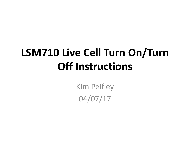## **LSM710 Live Cell Turn On/Turn Off Instructions**

Kim Peifley 04/07/17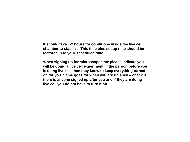**It should take 1-2 hours for conditions inside the live cell chamber to stabilize. This time plus set up time should be factored in to your scheduled time.**

**When signing up for microscope time please indicate you will be doing a live cell experiment. If the person before you is doing live cell then they know to keep everything turned on for you. Same goes for when you are finished – check if there is anyone signed up after you and if they are doing live cell you do not have to turn it off.**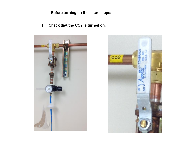**Before turning on the microscope:**

**1. Check that the CO2 is turned on.** 



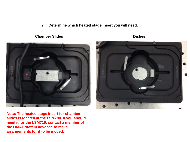**2. Determine which heated stage insert you will need.**

## **Chamber Slides Dishes**



**Note: The heated stage insert for chamber slides is located at the LSM780. If you should need it for the LSM710, contact a member of the OMAL staff in advance to make arrangements for it to be moved.**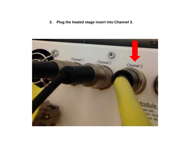**3. Plug the heated stage insert into Channel 3.**

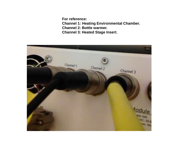**For reference: Channel 1: Heating Environmental Chamber. Channel 2: Bottle warmer. Channel 3: Heated Stage Insert.**

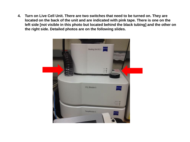**4. Turn on Live Cell Unit. There are two switches that need to be turned on. They are located on the back of the unit and are indicated with pink tape. There is one on the left side [not visible in this photo but located behind the black tubing] and the other on the right side. Detailed photos are on the following slides.**

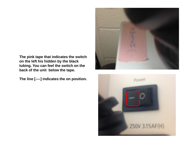**The pink tape that indicates the switch on the left his hidden by the black tubing. You can feel the switch on the back of the unit below the tape.**

**The line [----] indicates the on position.**



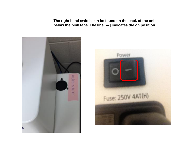**The right hand switch can be found on the back of the unit below the pink tape. The line [---] indicates the on position.**



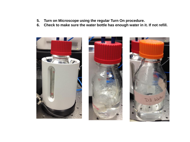- **5. Turn on Microscope using the regular Turn On procedure.**
- **6. Check to make sure the water bottle has enough water in it. If not refill.**





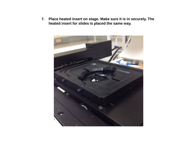**7. Place heated insert on stage. Make sure it is in securely. The heated insert for slides is placed the same way.**

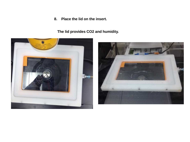**8. Place the lid on the insert.**

**The lid provides CO2 and humidity.**



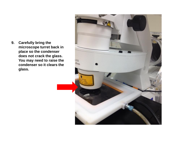**9. Carefully bring the microscope turret back in place so the condenser does not crack the glass. You may need to raise the condenser so it clears the glass.**

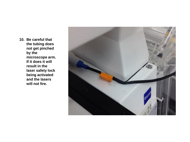**10. Be careful that the tubing does not get pinched by the microscope arm. If it does it will result in the laser safety lock being activated and the lasers will not fire.**

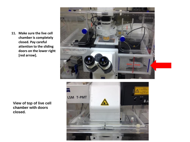**11. Make sure the live cell chamber is completely closed. Pay careful attention to the sliding doors on the lower right [red arrow].**





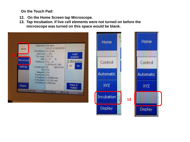**On the Touch Pad:**

- **12. On the Home Screen tap Microscope.**
- **13. Tap Incubation. If live cell elements were not turned on before the microscope was turned on this space would be blank.**



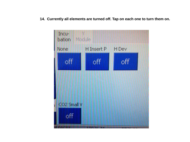**14. Currently all elements are turned off. Tap on each one to turn them on.**

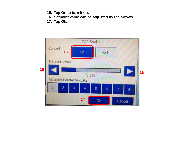- **15. Tap On to turn it on.**
- **16. Setpoint value can be adjusted by the arrows.**
- **17. Tap Ok.**

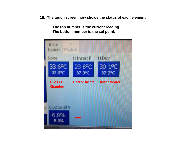**18. The touch screen now shows the status of each element.** 

**The top number is the current reading. The bottom number is the set point.**

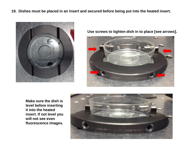**19. Dishes must be placed in an insert and secured before being put into the heated insert.**



**Use screws to tighten dish in to place [see arrows].** 



**Make sure the dish is level before inserting it into the heated insert. If not level you will not see even fluorescence images.**

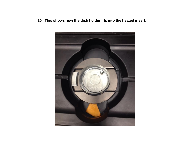**20. This shows how the dish holder fits into the heated insert.**